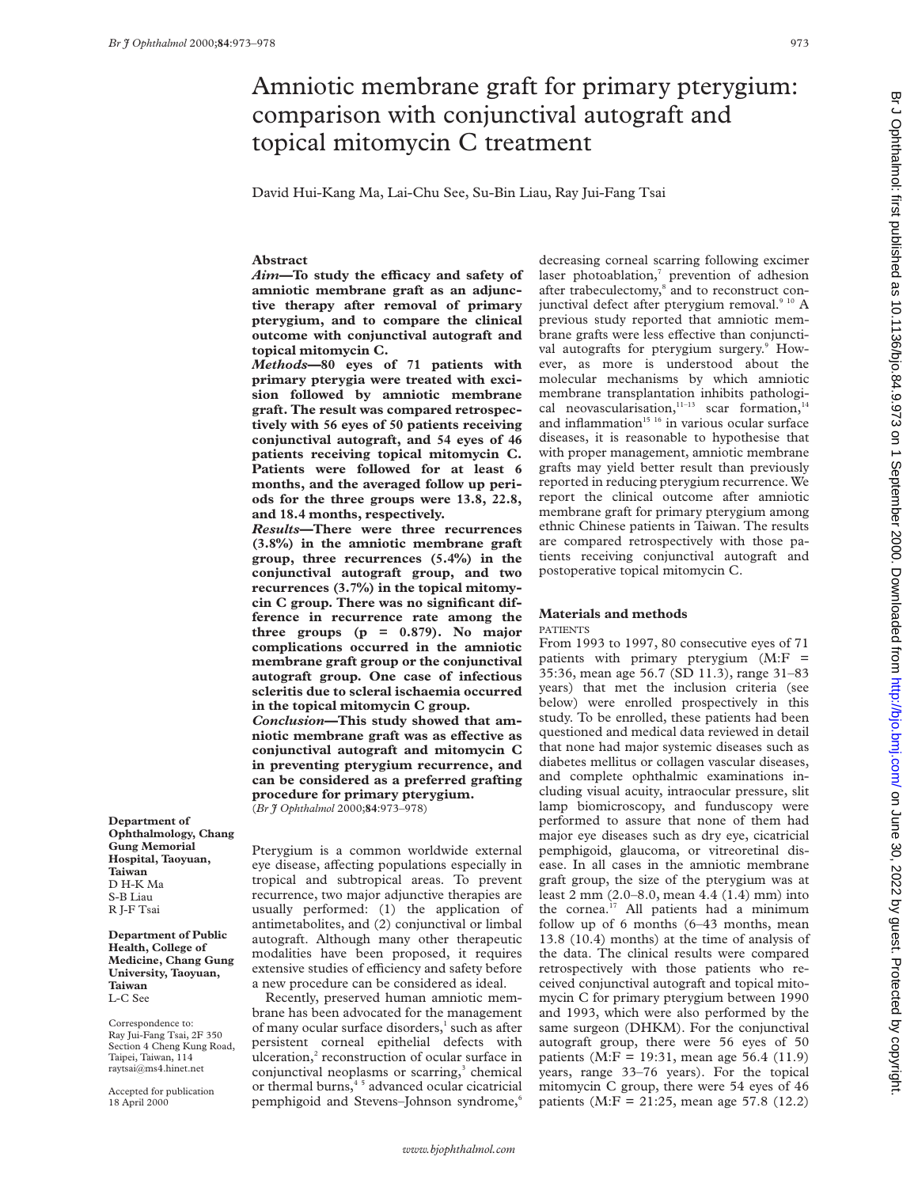# Amniotic membrane graft for primary pterygium: comparison with conjunctival autograft and topical mitomycin C treatment

David Hui-Kang Ma, Lai-Chu See, Su-Bin Liau, Ray Jui-Fang Tsai

## **Abstract**

*Aim*—To study the efficacy and safety of **amniotic membrane graft as an adjunctive therapy after removal of primary pterygium, and to compare the clinical outcome with conjunctival autograft and topical mitomycin C.**

*Methods***—80 eyes of 71 patients with primary pterygia were treated with excision followed by amniotic membrane graft. The result was compared retrospectively with 56 eyes of 50 patients receiving conjunctival autograft, and 54 eyes of 46 patients receiving topical mitomycin C. Patients were followed for at least 6 months, and the averaged follow up periods for the three groups were 13.8, 22.8, and 18.4 months, respectively.**

*Results***—There were three recurrences (3.8%) in the amniotic membrane graft group, three recurrences (5.4%) in the conjunctival autograft group, and two recurrences (3.7%) in the topical mitomycin C group. There was no significant difference in recurrence rate among the three groups (p = 0.879). No major complications occurred in the amniotic membrane graft group or the conjunctival autograft group. One case of infectious scleritis due to scleral ischaemia occurred in the topical mitomycin C group.**

*Conclusion***—This study showed that amniotic membrane graft was as effective as conjunctival autograft and mitomycin C in preventing pterygium recurrence, and can be considered as a preferred grafting procedure for primary pterygium.** (*Br J Ophthalmol* 2000;**84**:973–978)

**Department of Ophthalmology, Chang Gung Memorial Hospital, Taoyuan, Taiwan** D H-K Ma S-B Liau R J-F Tsai

**Department of Public Health, College of Medicine, Chang Gung University, Taoyuan, Taiwan** L-C See

Correspondence to: Ray Jui-Fang Tsai, 2F 350 Section 4 Cheng Kung Road, Taipei, Taiwan, 114 raytsai@ms4.hinet.net

Accepted for publication 18 April 2000

Pterygium is a common worldwide external eye disease, affecting populations especially in tropical and subtropical areas. To prevent recurrence, two major adjunctive therapies are usually performed: (1) the application of antimetabolites, and (2) conjunctival or limbal autograft. Although many other therapeutic modalities have been proposed, it requires extensive studies of efficiency and safety before a new procedure can be considered as ideal.

Recently, preserved human amniotic membrane has been advocated for the management of many ocular surface disorders,<sup>1</sup> such as after persistent corneal epithelial defects with ulceration,<sup>2</sup> reconstruction of ocular surface in conjunctival neoplasms or scarring, $3$  chemical or thermal burns,<sup>45</sup> advanced ocular cicatricial pemphigoid and Stevens-Johnson syndrome,<sup>6</sup>

decreasing corneal scarring following excimer laser photoablation,<sup>7</sup> prevention of adhesion after trabeculectomy,<sup>8</sup> and to reconstruct conjunctival defect after pterygium removal.<sup>9 10</sup> A previous study reported that amniotic membrane grafts were less effective than conjunctival autografts for pterygium surgery.<sup>9</sup> However, as more is understood about the molecular mechanisms by which amniotic membrane transplantation inhibits pathological neovascularisation, $11-13$  scar formation, $14$ and inflammation $15~16$  in various ocular surface diseases, it is reasonable to hypothesise that with proper management, amniotic membrane grafts may yield better result than previously reported in reducing pterygium recurrence. We report the clinical outcome after amniotic membrane graft for primary pterygium among ethnic Chinese patients in Taiwan. The results are compared retrospectively with those patients receiving conjunctival autograft and postoperative topical mitomycin C.

# **Materials and methods**

#### PATIENTS

From 1993 to 1997, 80 consecutive eyes of 71 patients with primary pterygium (M:F = 35:36, mean age 56.7 (SD 11.3), range 31–83 years) that met the inclusion criteria (see below) were enrolled prospectively in this study. To be enrolled, these patients had been questioned and medical data reviewed in detail that none had major systemic diseases such as diabetes mellitus or collagen vascular diseases, and complete ophthalmic examinations including visual acuity, intraocular pressure, slit lamp biomicroscopy, and funduscopy were performed to assure that none of them had major eye diseases such as dry eye, cicatricial pemphigoid, glaucoma, or vitreoretinal disease. In all cases in the amniotic membrane graft group, the size of the pterygium was at least 2 mm (2.0–8.0, mean 4.4 (1.4) mm) into the cornea.<sup>17</sup> All patients had a minimum follow up of 6 months (6–43 months, mean 13.8 (10.4) months) at the time of analysis of the data. The clinical results were compared retrospectively with those patients who received conjunctival autograft and topical mitomycin C for primary pterygium between 1990 and 1993, which were also performed by the same surgeon (DHKM). For the conjunctival autograft group, there were 56 eyes of 50 patients (M:F = 19:31, mean age 56.4 (11.9) years, range 33–76 years). For the topical mitomycin C group, there were 54 eyes of 46 patients (M:F = 21:25, mean age 57.8 (12.2)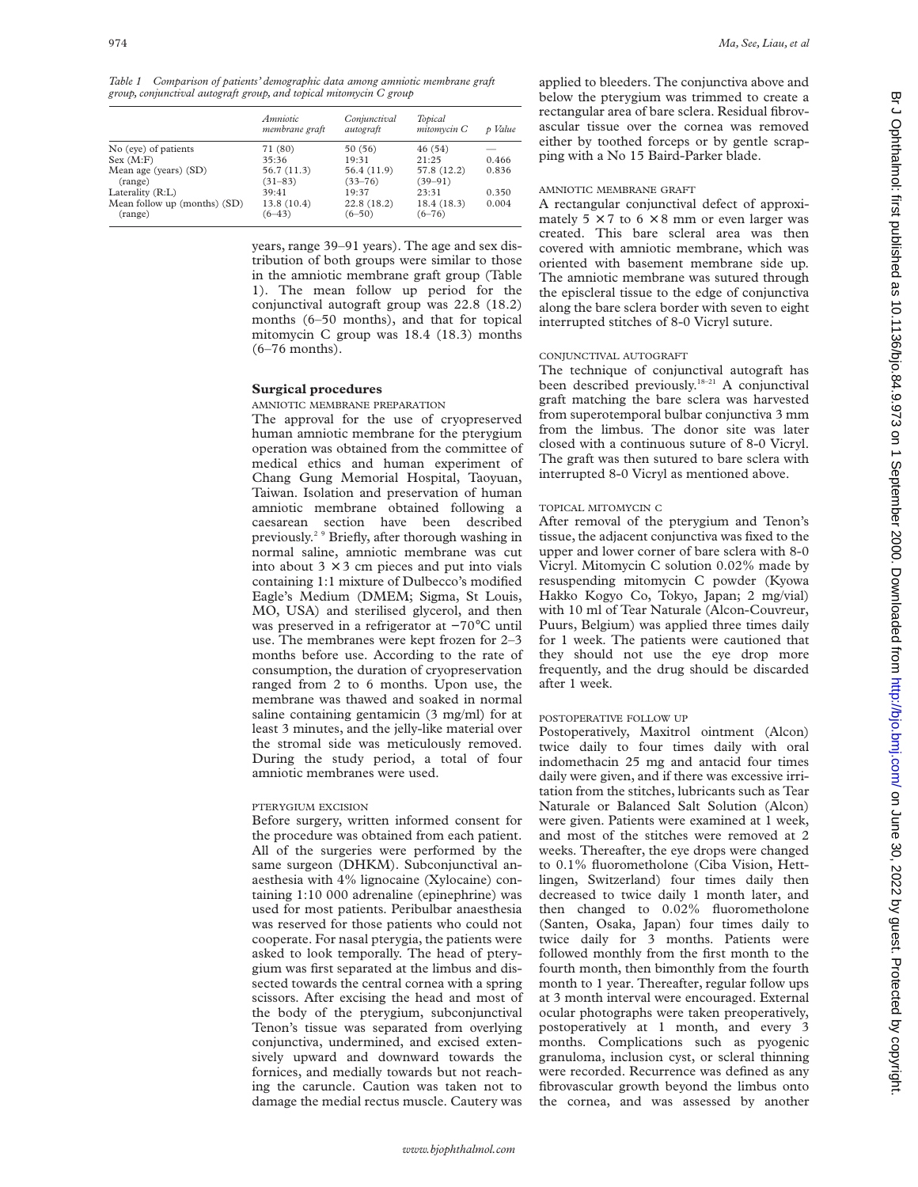*Table 1 Comparison of patients' demographic data among amniotic membrane graft group, conjunctival autograft group, and topical mitomycin C group*

|                                         | Amniotic<br>membrane graft | Conjunctival<br>autograft  | Topical<br>mitomycin C     | p Value |
|-----------------------------------------|----------------------------|----------------------------|----------------------------|---------|
| No (eye) of patients                    | 71 (80)                    | 50 (56)                    | 46(54)                     |         |
| Sex (M:F)                               | 35:36                      | 19:31                      | 21:25                      | 0.466   |
| Mean age (years) (SD)<br>(range)        | 56.7(11.3)<br>$(31 - 83)$  | 56.4 (11.9)<br>$(33 - 76)$ | 57.8 (12.2)<br>$(39 - 91)$ | 0.836   |
| Laterality $(R:L)$                      | 39:41                      | 19:37                      | 23:31                      | 0.350   |
| Mean follow up (months) (SD)<br>(range) | 13.8 (10.4)<br>$(6 - 43)$  | 22.8 (18.2)<br>$(6 - 50)$  | 18.4 (18.3)<br>$(6 - 76)$  | 0.004   |

years, range 39–91 years). The age and sex distribution of both groups were similar to those in the amniotic membrane graft group (Table 1). The mean follow up period for the conjunctival autograft group was 22.8 (18.2) months (6–50 months), and that for topical mitomycin C group was 18.4 (18.3) months (6–76 months).

## **Surgical procedures**

## AMNIOTIC MEMBRANE PREPARATION

The approval for the use of cryopreserved human amniotic membrane for the pterygium operation was obtained from the committee of medical ethics and human experiment of Chang Gung Memorial Hospital, Taoyuan, Taiwan. Isolation and preservation of human amniotic membrane obtained following a caesarean section have been described previously.2 9 Briefly, after thorough washing in normal saline, amniotic membrane was cut into about  $3 \times 3$  cm pieces and put into vials containing 1:1 mixture of Dulbecco's modified Eagle's Medium (DMEM; Sigma, St Louis, MO, USA) and sterilised glycerol, and then was preserved in a refrigerator at −70°C until use. The membranes were kept frozen for 2–3 months before use. According to the rate of consumption, the duration of cryopreservation ranged from 2 to 6 months. Upon use, the membrane was thawed and soaked in normal saline containing gentamicin (3 mg/ml) for at least 3 minutes, and the jelly-like material over the stromal side was meticulously removed. During the study period, a total of four amniotic membranes were used.

## PTERYGIUM EXCISION

Before surgery, written informed consent for the procedure was obtained from each patient. All of the surgeries were performed by the same surgeon (DHKM). Subconjunctival anaesthesia with 4% lignocaine (Xylocaine) containing 1:10 000 adrenaline (epinephrine) was used for most patients. Peribulbar anaesthesia was reserved for those patients who could not cooperate. For nasal pterygia, the patients were asked to look temporally. The head of pterygium was first separated at the limbus and dissected towards the central cornea with a spring scissors. After excising the head and most of the body of the pterygium, subconjunctival Tenon's tissue was separated from overlying conjunctiva, undermined, and excised extensively upward and downward towards the fornices, and medially towards but not reaching the caruncle. Caution was taken not to damage the medial rectus muscle. Cautery was

applied to bleeders. The conjunctiva above and below the pterygium was trimmed to create a rectangular area of bare sclera. Residual fibrovascular tissue over the cornea was removed either by toothed forceps or by gentle scrapping with a No 15 Baird-Parker blade.

## AMNIOTIC MEMBRANE GRAFT

A rectangular conjunctival defect of approximately  $5 \times 7$  to  $6 \times 8$  mm or even larger was created. This bare scleral area was then covered with amniotic membrane, which was oriented with basement membrane side up. The amniotic membrane was sutured through the episcleral tissue to the edge of conjunctiva along the bare sclera border with seven to eight interrupted stitches of 8-0 Vicryl suture.

## CONJUNCTIVAL AUTOGRAFT

The technique of conjunctival autograft has been described previously.<sup>18-21</sup> A conjunctival graft matching the bare sclera was harvested from superotemporal bulbar conjunctiva 3 mm from the limbus. The donor site was later closed with a continuous suture of 8-0 Vicryl. The graft was then sutured to bare sclera with interrupted 8-0 Vicryl as mentioned above.

#### TOPICAL MITOMYCIN C

After removal of the pterygium and Tenon's tissue, the adjacent conjunctiva was fixed to the upper and lower corner of bare sclera with 8-0 Vicryl. Mitomycin C solution 0.02% made by resuspending mitomycin C powder (Kyowa Hakko Kogyo Co, Tokyo, Japan; 2 mg/vial) with 10 ml of Tear Naturale (Alcon-Couvreur, Puurs, Belgium) was applied three times daily for 1 week. The patients were cautioned that they should not use the eye drop more frequently, and the drug should be discarded after 1 week.

#### POSTOPERATIVE FOLLOW UP

Postoperatively, Maxitrol ointment (Alcon) twice daily to four times daily with oral indomethacin 25 mg and antacid four times daily were given, and if there was excessive irritation from the stitches, lubricants such as Tear Naturale or Balanced Salt Solution (Alcon) were given. Patients were examined at 1 week, and most of the stitches were removed at 2 weeks. Thereafter, the eye drops were changed to 0.1% fluorometholone (Ciba Vision, Hettlingen, Switzerland) four times daily then decreased to twice daily 1 month later, and then changed to 0.02% fluorometholone (Santen, Osaka, Japan) four times daily to twice daily for 3 months. Patients were followed monthly from the first month to the fourth month, then bimonthly from the fourth month to 1 year. Thereafter, regular follow ups at 3 month interval were encouraged. External ocular photographs were taken preoperatively, postoperatively at 1 month, and every 3 months. Complications such as pyogenic granuloma, inclusion cyst, or scleral thinning were recorded. Recurrence was defined as any fibrovascular growth beyond the limbus onto the cornea, and was assessed by another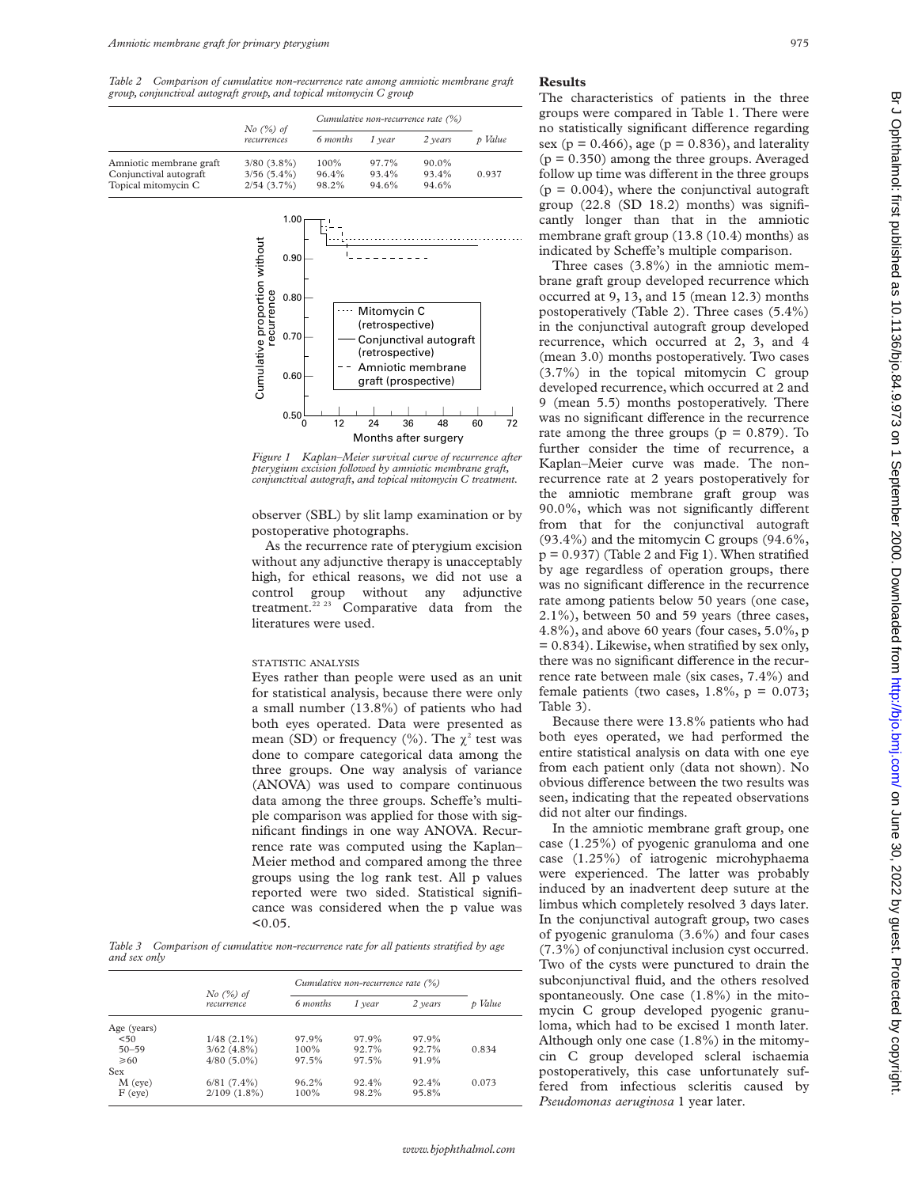*Table 2 Comparison of cumulative non-recurrence rate among amniotic membrane graft group, conjunctival autograft group, and topical mitomycin C group*

|                                                                          |                                                 | Cumulative non-recurrence rate (%) |                         |                         |         |
|--------------------------------------------------------------------------|-------------------------------------------------|------------------------------------|-------------------------|-------------------------|---------|
|                                                                          | $No$ $(\%)$ of<br>recurrences                   | 6 months                           | 1 vear                  | 2 years                 | p Value |
| Amniotic membrane graft<br>Conjunctival autograft<br>Topical mitomycin C | $3/80$ $(3.8\%)$<br>$3/56(5.4\%)$<br>2/54(3.7%) | 100%<br>96.4%<br>98.2%             | 97.7%<br>93.4%<br>94.6% | 90.0%<br>93.4%<br>94.6% | 0.937   |



*Figure 1 Kaplan–Meier survival curve of recurrence after pterygium excision followed by amniotic membrane graft, conjunctival autograft, and topical mitomycin C treatment.*

observer (SBL) by slit lamp examination or by postoperative photographs.

As the recurrence rate of pterygium excision without any adjunctive therapy is unacceptably high, for ethical reasons, we did not use a control group without any adjunctive treatment. $22 23$  Comparative data from the literatures were used.

#### STATISTIC ANALYSIS

Eyes rather than people were used as an unit for statistical analysis, because there were only a small number (13.8%) of patients who had both eyes operated. Data were presented as mean (SD) or frequency (%). The  $\chi^2$  test was done to compare categorical data among the three groups. One way analysis of variance (ANOVA) was used to compare continuous data among the three groups. Scheffe's multiple comparison was applied for those with significant findings in one way ANOVA. Recurrence rate was computed using the Kaplan– Meier method and compared among the three groups using the log rank test. All p values reported were two sided. Statistical significance was considered when the p value was  $< 0.05$ .

*Table 3 Comparison of cumulative non-recurrence rate for all patients stratified by age and sex only*

|                | $No$ $(%)$ of<br>recurrence | Cumulative non-recurrence rate (%) |        |         |       |
|----------------|-----------------------------|------------------------------------|--------|---------|-------|
|                |                             | 6 months                           | 1 year | 2 years | Value |
| Age (years)    |                             |                                    |        |         |       |
| < 50           | $1/48$ $(2.1\%)$            | 97.9%                              | 97.9%  | 97.9%   |       |
| $50 - 59$      | $3/62(4.8\%)$               | 100%                               | 92.7%  | 92.7%   | 0.834 |
| $\geqslant 60$ | $4/80(5.0\%)$               | 97.5%                              | 97.5%  | 91.9%   |       |
| Sex            |                             |                                    |        |         |       |
| $M$ (eye)      | $6/81(7.4\%)$               | 96.2%                              | 92.4%  | 92.4%   | 0.073 |
| $F$ (eye)      | $2/109$ $(1.8\%)$           | 100%                               | 98.2%  | 95.8%   |       |

#### **Results**

The characteristics of patients in the three groups were compared in Table 1. There were no statistically significant difference regarding sex ( $p = 0.466$ ), age ( $p = 0.836$ ), and laterality  $(p = 0.350)$  among the three groups. Averaged follow up time was different in the three groups  $(p = 0.004)$ , where the conjunctival autograft group (22.8 (SD 18.2) months) was significantly longer than that in the amniotic membrane graft group (13.8 (10.4) months) as indicated by Scheffe's multiple comparison.

Three cases (3.8%) in the amniotic membrane graft group developed recurrence which occurred at 9, 13, and 15 (mean 12.3) months postoperatively (Table 2). Three cases (5.4%) in the conjunctival autograft group developed recurrence, which occurred at 2, 3, and 4 (mean 3.0) months postoperatively. Two cases (3.7%) in the topical mitomycin C group developed recurrence, which occurred at 2 and 9 (mean 5.5) months postoperatively. There was no significant difference in the recurrence rate among the three groups ( $p = 0.879$ ). To further consider the time of recurrence, a Kaplan–Meier curve was made. The nonrecurrence rate at 2 years postoperatively for the amniotic membrane graft group was 90.0%, which was not significantly different from that for the conjunctival autograft (93.4%) and the mitomycin C groups (94.6%,  $p = 0.937$ ) (Table 2 and Fig 1). When stratified by age regardless of operation groups, there was no significant difference in the recurrence rate among patients below 50 years (one case, 2.1%), between 50 and 59 years (three cases, 4.8%), and above 60 years (four cases, 5.0%, p = 0.834). Likewise, when stratified by sex only, there was no significant difference in the recurrence rate between male (six cases, 7.4%) and female patients (two cases,  $1.8\%$ ,  $p = 0.073$ ; Table 3).

Because there were 13.8% patients who had both eyes operated, we had performed the entire statistical analysis on data with one eye from each patient only (data not shown). No obvious difference between the two results was seen, indicating that the repeated observations did not alter our findings.

In the amniotic membrane graft group, one case (1.25%) of pyogenic granuloma and one case (1.25%) of iatrogenic microhyphaema were experienced. The latter was probably induced by an inadvertent deep suture at the limbus which completely resolved 3 days later. In the conjunctival autograft group, two cases of pyogenic granuloma (3.6%) and four cases (7.3%) of conjunctival inclusion cyst occurred. Two of the cysts were punctured to drain the subconjunctival fluid, and the others resolved spontaneously. One case (1.8%) in the mitomycin C group developed pyogenic granuloma, which had to be excised 1 month later. Although only one case (1.8%) in the mitomycin C group developed scleral ischaemia postoperatively, this case unfortunately suffered from infectious scleritis caused by *Pseudomonas aeruginosa* 1 year later.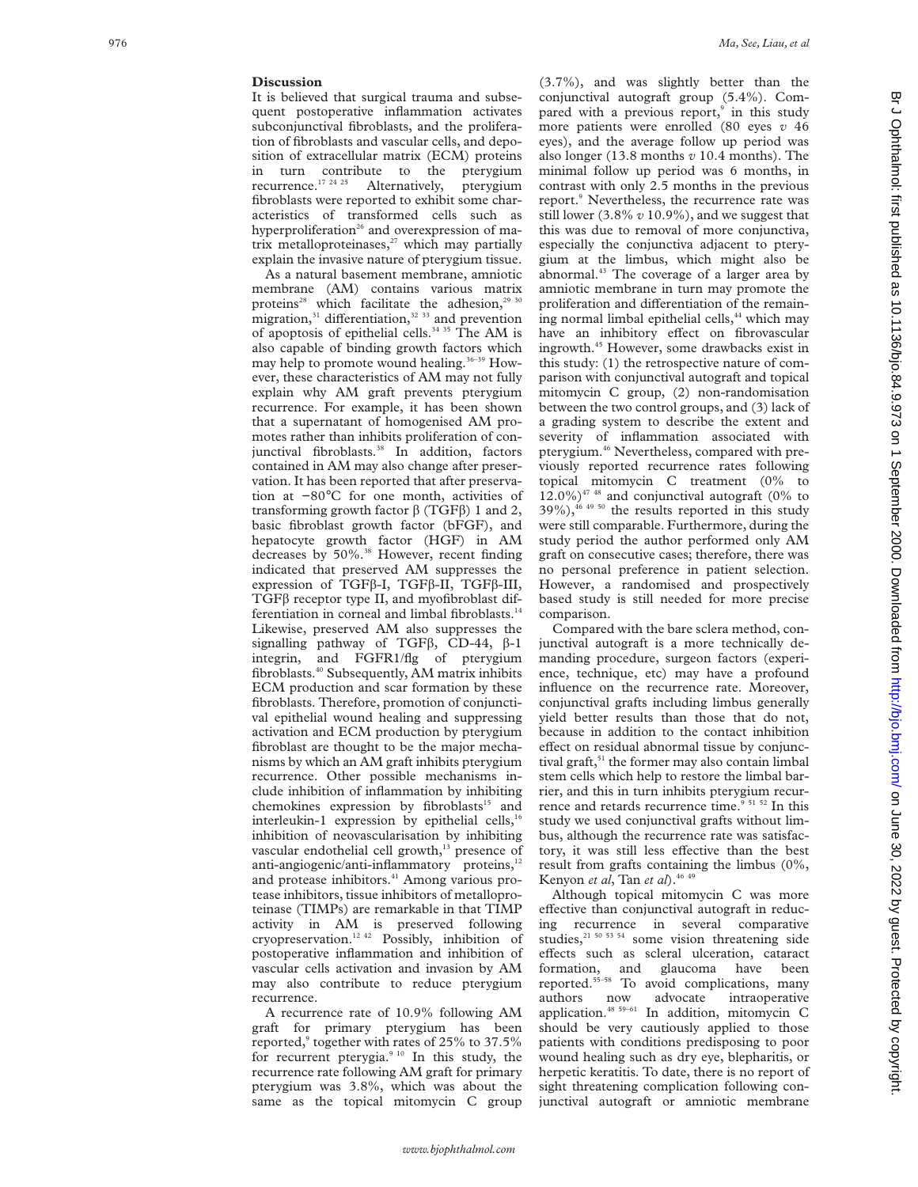#### **Discussion**

It is believed that surgical trauma and subsequent postoperative inflammation activates subconjunctival fibroblasts, and the proliferation of fibroblasts and vascular cells, and deposition of extracellular matrix (ECM) proteins in turn contribute to the pterygium<br>recurrence.<sup>17 24 25</sup> Alternatively, ptervgium Alternatively, pterygium fibroblasts were reported to exhibit some characteristics of transformed cells such as hyperproliferation<sup>26</sup> and overexpression of matrix metalloproteinases, $27$  which may partially explain the invasive nature of pterygium tissue.

As a natural basement membrane, amniotic membrane (AM) contains various matrix proteins<sup>28</sup> which facilitate the adhesion,<sup>29 30</sup> migration, $31$  differentiation, $32$  33 and prevention of apoptosis of epithelial cells.<sup>34 35</sup> The AM is also capable of binding growth factors which may help to promote wound healing.<sup>36-39</sup> However, these characteristics of AM may not fully explain why AM graft prevents pterygium recurrence. For example, it has been shown that a supernatant of homogenised AM promotes rather than inhibits proliferation of conjunctival fibroblasts.<sup>38</sup> In addition, factors contained in AM may also change after preservation. It has been reported that after preservation at −80°C for one month, activities of transforming growth factor  $\beta$  (TGF $\beta$ ) 1 and 2, basic fibroblast growth factor (bFGF), and hepatocyte growth factor (HGF) in AM decreases by 50%.<sup>38</sup> However, recent finding indicated that preserved AM suppresses the expression of TGFβ-I, TGFβ-II, TGFβ-III, TGF â receptor type II, and myofibroblast differentiation in corneal and limbal fibroblasts.<sup>14</sup> Likewise, preserved AM also suppresses the signalling pathway of TGF $\beta$ , CD-44,  $\beta$ -1 integrin, and FGFR1/flg of pterygium fibroblasts.40 Subsequently, AM matrix inhibits ECM production and scar formation by these fibroblasts. Therefore, promotion of conjunctival epithelial wound healing and suppressing activation and ECM production by pterygium fibroblast are thought to be the major mechanisms by which an AM graft inhibits pterygium recurrence. Other possible mechanisms include inhibition of inflammation by inhibiting chemokines expression by fibroblasts<sup>15</sup> and interleukin-1 expression by epithelial cells, $16$ inhibition of neovascularisation by inhibiting vascular endothelial cell growth,<sup>13</sup> presence of anti-angiogenic/anti-inflammatory proteins,<sup>12</sup> and protease inhibitors.<sup>41</sup> Among various protease inhibitors, tissue inhibitors of metalloproteinase (TIMPs) are remarkable in that TIMP activity in AM is preserved following cryopreservation.12 42 Possibly, inhibition of postoperative inflammation and inhibition of vascular cells activation and invasion by AM may also contribute to reduce pterygium recurrence.

A recurrence rate of 10.9% following AM graft for primary pterygium has been reported, <sup>9</sup> together with rates of 25% to 37.5% for recurrent pterygia.<sup>9 10</sup> In this study, the recurrence rate following AM graft for primary pterygium was 3.8%, which was about the same as the topical mitomycin C group (3.7%), and was slightly better than the conjunctival autograft group (5.4%). Compared with a previous report,<sup>9</sup> in this study more patients were enrolled (80 eyes *v* 46 eyes), and the average follow up period was also longer (13.8 months *v* 10.4 months). The minimal follow up period was 6 months, in contrast with only 2.5 months in the previous report. <sup>9</sup> Nevertheless, the recurrence rate was still lower (3.8% *v* 10.9%), and we suggest that this was due to removal of more conjunctiva, especially the conjunctiva adjacent to pterygium at the limbus, which might also be abnormal.<sup>43</sup> The coverage of a larger area by amniotic membrane in turn may promote the proliferation and differentiation of the remain- $\lim_{x \to 0}$  normal limbal epithelial cells,<sup>44</sup> which may have an inhibitory effect on fibrovascular ingrowth.45 However, some drawbacks exist in this study: (1) the retrospective nature of comparison with conjunctival autograft and topical mitomycin C group, (2) non-randomisation between the two control groups, and (3) lack of a grading system to describe the extent and severity of inflammation associated with pterygium.46 Nevertheless, compared with previously reported recurrence rates following topical mitomycin C treatment (0% to  $12.0\%$ <sup>47 48</sup> and conjunctival autograft (0% to  $39\%$ ),<sup>46 49 50</sup> the results reported in this study were still comparable. Furthermore, during the study period the author performed only AM graft on consecutive cases; therefore, there was no personal preference in patient selection. However, a randomised and prospectively based study is still needed for more precise comparison.

Compared with the bare sclera method, conjunctival autograft is a more technically demanding procedure, surgeon factors (experience, technique, etc) may have a profound influence on the recurrence rate. Moreover, conjunctival grafts including limbus generally yield better results than those that do not, because in addition to the contact inhibition effect on residual abnormal tissue by conjunctival graft, $51$  the former may also contain limbal stem cells which help to restore the limbal barrier, and this in turn inhibits pterygium recurrence and retards recurrence time.<sup>9 51 52</sup> In this study we used conjunctival grafts without limbus, although the recurrence rate was satisfactory, it was still less effective than the best result from grafts containing the limbus (0%, Kenyon *et al*, Tan *et al*).46 49

Although topical mitomycin C was more effective than conjunctival autograft in reducing recurrence in several comparative studies, $2^{150}$  53 54 some vision threatening side effects such as scleral ulceration, cataract formation, and glaucoma have been reported.<sup>55-58</sup> To avoid complications, many authors now advocate intraoperative application.48 59–61 In addition, mitomycin C should be very cautiously applied to those patients with conditions predisposing to poor wound healing such as dry eye, blepharitis, or herpetic keratitis. To date, there is no report of sight threatening complication following conjunctival autograft or amniotic membrane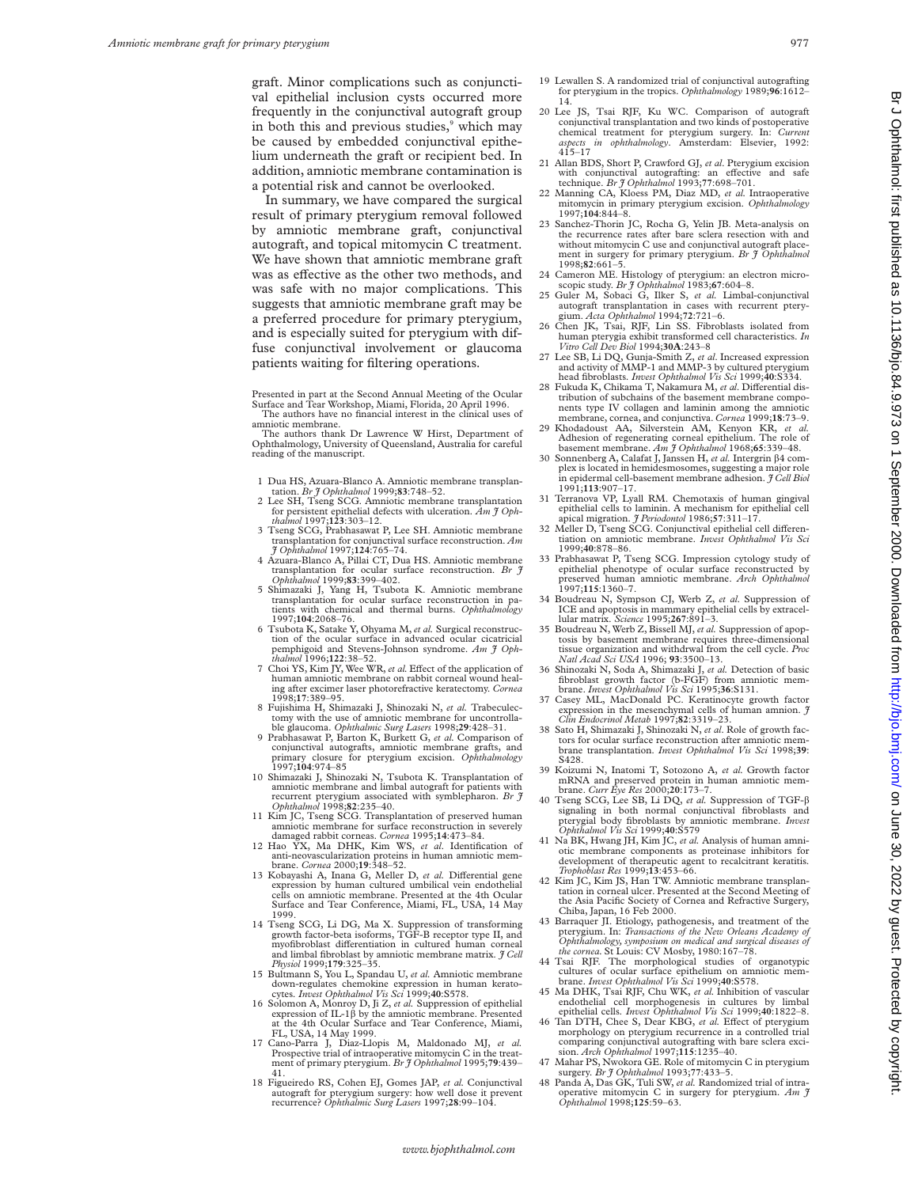graft. Minor complications such as conjunctival epithelial inclusion cysts occurred more frequently in the conjunctival autograft group in both this and previous studies,<sup>9</sup> which may be caused by embedded conjunctival epithelium underneath the graft or recipient bed. In addition, amniotic membrane contamination is a potential risk and cannot be overlooked.

In summary, we have compared the surgical result of primary pterygium removal followed by amniotic membrane graft, conjunctival autograft, and topical mitomycin C treatment. We have shown that amniotic membrane graft was as effective as the other two methods, and was safe with no major complications. This suggests that amniotic membrane graft may be a preferred procedure for primary pterygium, and is especially suited for pterygium with diffuse conjunctival involvement or glaucoma patients waiting for filtering operations.

Presented in part at the Second Annual Meeting of the Ocular Surface and Tear Workshop, Miami, Florida, 20 April 1996. The authors have no financial interest in the clinical uses of amniotic membrane.

The authors thank Dr Lawrence W Hirst, Department of Ophthalmology, University of Queensland, Australia for careful reading of the manuscript.

- 1 Dua HS, Azuara-Blanco A. Amniotic membrane transplan-tation. *Br J Ophthalmol* 1999;**83**:748–52.
- 2 Lee SH, Tseng SCG. Amniotic membrane transplantation for persistent epithelial defects with ulceration. *Am J Oph-thalmol* 1997;**123**:303–12.
- 3 Tseng SCG, Prabhasawat P, Lee SH. Amniotic membrane
- transplantation for conjunctival surface reconstruction. Am<br>  $\hat{J}$  Ophthalmol 1997;124:765-74.<br>
4 Azuara-Blanco A, Pillai CT, Dua HS. Amniotic membrane<br>
transplantation for ocular surface reconstruction. Br  $\hat{J}$
- *Ophthalmol* 1999;**83**:399–402. 5 Shimazaki J, Yang H, Tsubota K. Amniotic membrane transplantation for ocular surface reconstruction in patients with chemical and thermal burns. *Ophthalmology*
- 1997;**104**:2068–76. 6 Tsubota K, Satake Y, Ohyama M, *et al.* Surgical reconstruction of the ocular surface in advanced ocular cicatricial pemphigoid and Stevens-Johnson syndrome. *Am J Ophthalmol* 1996;**122**:38–52.
- 7 Choi YS, Kim JY, Wee WR, et al. Effect of the application of human amniotic membrane on rabbit corneal wound heal-ing after excimer laser photorefractive keratectomy. *Cornea* 1998;**17**:389–95. 8 Fujishima H, Shimazaki J, Shinozaki N, *et al.* Trabeculec-
- tomy with the use of amniotic membrane for uncontrolla-ble glaucoma. *Ophthalmic Surg Lasers* 1998;**29**:428–31.
- 9 Prabhasawat P, Barton K, Burkett G, *et al.* Comparison of conjunctival autografts, amniotic membrane grafts, and primary closure for pterygium excision. *Ophthalmology* 1997;**104**:974–85
- 10 Shimazaki J, Shinozaki N, Tsubota K. Transplantation of amniotic membrane and limbal autograft for patients with recurrent pterygium associated with symblepharon. *Br J Ophthalmol* 1998;**82**:235–40.
- 11 Kim JC, Tseng SCG. Transplantation of preserved human amniotic membrane for surface reconstruction in severely
- damaged rabbit corneas. *Cornea* 1995;**14**:473–84. 12 Hao YX, Ma DHK, Kim WS, *et al*. Identification of anti-neovascularization proteins in human amniotic mem-brane. *Cornea* 2000;**19**:348–52.
- 13 Kobayashi A, Inana G, Meller D, et al. Differential gene expression by human cultured umbilical vein endothelial cells on amniotic membrane. Presented at the 4th Ocular Surface and Tear Conference, Miami, FL, USA, 14 May 1999.
- 14 Tseng SCG, Li DG, Ma X. Suppression of transforming growth factor-beta isoforms, TGF-B receptor type II, and myofibroblast differentiation in cultured human corneal and limbal fibroblast by amniotic membrane matrix. *J Cell Physiol* 1999;**179**:325–35.
- 15 Bultmann S, You L, Spandau U, *et al.* Amniotic membrane down-regulates chemokine expression in human kerato-cytes. *Invest Ophthalmol Vis Sci* 1999;**40**:S578.
- 16 Solomon A, Monroy D, Ji Z, *et al.* Suppression of epithelial expression of IL-1â by the amniotic membrane. Presented at the 4th Ocular Surface and Tear Conference, Miami, FL, USA, 14 May 1999.
- 17 Cano-Parra J, Diaz-Llopis M, Maldonado MJ, *et al.* Prospective trial of intraoperative mitomycin C in the treatment of primary pterygium. *Br J Ophthalmol* 1995;**79**:439– 41.
- 18 Figueiredo RS, Cohen EJ, Gomes JAP, *et al.* Conjunctival autograft for pterygium surgery: how well dose it prevent recurrence? *Ophthalmic Surg Lasers* 1997;**28**:99–104.
- 19 Lewallen S. A randomized trial of conjunctival autografting for pterygium in the tropics. *Ophthalmology* 1989;**96**:1612– 14.
- 20 Lee JS, Tsai RJF, Ku WC. Comparison of autograft conjunctival transplantation and two kinds of postoperative chemical treatment for pterygium surgery. In: *Current aspects in ophthalmology*. Amsterdam: Elsevier, 1992:  $415 - 17$
- 21 Allan BDS, Short P, Crawford GJ, *et al*. Pterygium excision with conjunctival autografting: an effective and safe technique. *Br J Ophthalmol* 1993;77:698–701.
- 22 Manning CA, Kloess PM, Diaz MD, *et al.* Intraoperative mitomycin in primary pterygium excision. *Ophthalmology* 1997;**104**:844–8.
- 23 Sanchez-Thorin JC, Rocha G, Yelin JB. Meta-analysis on the recurrence rates after bare sclera resection with and without mitomycin C use and conjunctival autograft placement in surgery for primary pterygium. *Br J Ophthalmol* 1998;**82**:661–5.
- 24 Cameron ME. Histology of pterygium: an electron micro-scopic study. *Br J Ophthalmol* 1983;**67**:604–8.
- 25 Guler M, Sobaci G, Ilker S, *et al.* Limbal-conjunctival autograft transplantation in cases with recurrent pterygium. *Acta Ophthalmol* 1994;**72**:721–6.
- 26 Chen JK, Tsai, RJF, Lin SS. Fibroblasts isolated from human pterygia exhibit transformed cell characteristics. *In Vitro Cell Dev Biol* 1994;**30A**:243–8
- 27 Lee SB, Li DQ, Gunja-Smith Z, *et al*. Increased expression and activity of MMP-1 and MMP-3 by cultured pterygium head fibroblasts. *Invest Ophthalmol Vis Sci* 1999;**40**:S334.
- 28 Fukuda K, Chikama T, Nakamura M, et al. Differential distribution of subchains of the basement membrane components type IV collagen and laminin among the amniotic membrane, cornea, and conjunctiva. *Cornea* 1999;**18**:73–9.
- 29 Khodadoust AA, Silverstein AM, Kenyon KR, *et al.* Adhesion of regenerating corneal epithelium. The role of basement membrane. *Am J Ophthalmol* 1968;**65**:339–48.<br>30 Sonnenberg A, Calafat J, Janssen H, *et al.* Intergrin  $\beta$ 4 com-
- plex is located in hemidesmosomes, suggesting a major role in epidermal cell-basement membrane adhesion. *J Cell Biol* 1991;**113**:907–17.
- 31 Terranova VP, Lyall RM. Chemotaxis of human gingival epithelial cells to laminin. A mechanism for epithelial cell apical migration. *J Periodontol* 1986;**57**:311–17.
- 32 Meller D, Tseng SCG. Conjunctival epithelial cell differentiation on amniotic membrane. *Invest Ophthalmol Vis Sci* 1999;**40**:878–86.
- 33 Prabhasawat P, Tseng SCG. Impression cytology study of epithelial phenotype of ocular surface reconstructed by preserved human amniotic membrane. *Arch Ophthalmol* 1997;**115**:1360–7.
- 34 Boudreau N, Sympson CJ, Werb Z, *et al*. Suppression of ICE and apoptosis in mammary epithelial cells by extracel-
- lular matrix. *Science* 1995;**267**:891–3. 35 Boudreau N, Werb Z, Bissell MJ, *et al.* Suppression of apoptosis by basement membrane requires three-dimensional tissue organization and withdrwal from the cell cycle. *Proc Natl Acad Sci USA* 1996; **93**:3500–13.
- 36 Shinozaki N, Soda A, Shimazaki J, et al. Detection of basic<br>fibroblast growth factor (b-FGF) from ammiotic mem-<br>brane. *Invest Ophthalmol Vis Sci* 1995;36:S131.<br>Casey ML, MacDonald PC. Keratinocyte growth factor
- expression in the mesenchymal cells of human amnion. *J Clin Endocrinol Metab* 1997;**82**:3319–23.
- 38 Sato H, Shimazaki J, Shinozaki N, *et al*. Role of growth fac-tors for ocular surface reconstruction after amniotic membrane transplantation. *Invest Ophthalmol Vis Sci* 1998;**39**: S428.
- 39 Koizumi N, Inatomi T, Sotozono A, *et al.* Growth factor mRNA and preserved protein in human amniotic mem-brane. *Curr Eye Res* 2000;**20**:173–7.
- 40 Tseng SCG, Lee SB, Li DQ, *et al.* Suppression of TGF-â signaling in both normal conjunctival fibroblasts and pterygial body fibroblasts by amniotic membrane. *Invest Ophthalmol Vis Sci* 1999;**40**:S579
- 41 Na BK, Hwang JH, Kim JC, *et al.* Analysis of human amniotic membrane components as proteinase inhibitors for development of therapeutic agent to recalcitrant keratitis. *Trophoblast Res* 1999;**13**:453–66.
- 42 Kim JC, Kim JS, Han TW. Amniotic membrane transplantation in corneal ulcer. Presented at the Second Meeting of of Cornea and Refractive Surgery, the Asia Pacific Society of C<br>Chiba, Japan, 16 Feb 2000.
- 43 Barraquer JI. Etiology, pathogenesis, and treatment of the pterygium. In: *Transactions of the New Orleans Academy of Ophthalmology, symposium on medical and surgical diseases of the cornea.* St Louis: CV Mosby, 1980:167–78.
- 44 Tsai RJF. The morphological studies of organotypic cultures of ocular surface epithelium on amniotic mem-brane. *Invest Ophthalmol Vis Sci* 1999;**40**:S578.
- 45 Ma DHK, Tsai RJF, Chu WK, *et al.* Inhibition of vascular endothelial cell morphogenesis in cultures by limbal epithelial cells. *Invest Ophthalmol Vis Sci* 1999;**40**:1822–8.
- 46 Tan DTH, Chee S, Dear KBG, et al. Effect of ptervgium morphology on pterygium recurrence in a controlled trial comparing conjunctival autografting with bare sclera excision. *Arch Ophthalmol* 1997;**115**:1235–40.
- 47 Mahar PS, Nwokora GE. Role of mitomycin C in pterygium surgery. *Br J Ophthalmol* 1993;**77**:433–5.
- 48 Panda A, Das GK, Tuli SW, *et al.* Randomized trial of intraoperative mitomycin C in surgery for pterygium. *Am J Ophthalmol* 1998;**125**:59–63.